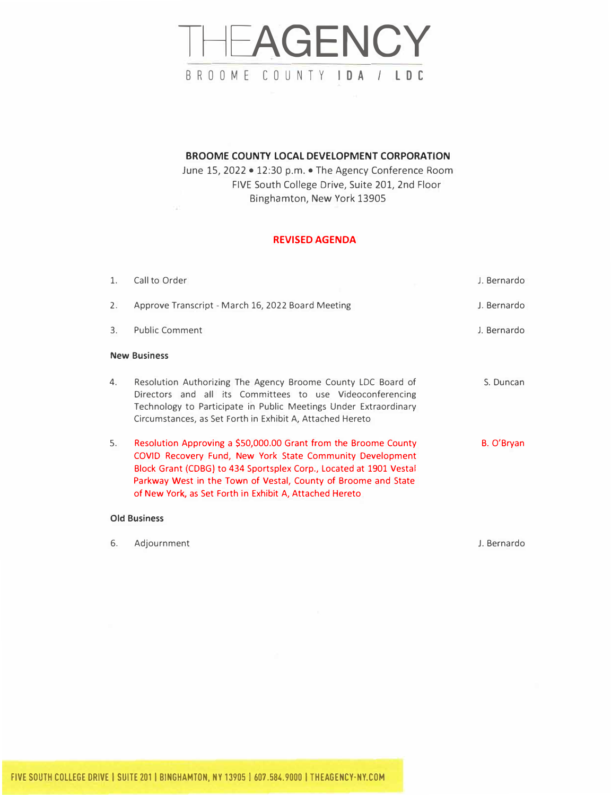# THEAGENCY BROOME COUNTY IDA/ LDC

### **BROOME COUNTY LOCAL DEVELOPMENT CORPORATION**

June 15, 2022 • 12:30 p.m. • The Agency Conference Room FIVE South College Drive, Suite 201, 2nd Floor Binghamton, New York 13905

## **REVISED AGENDA**

| 1. | Call to Order                                                                                                                                                                                                                                                                                                                   | J. Bernardo |
|----|---------------------------------------------------------------------------------------------------------------------------------------------------------------------------------------------------------------------------------------------------------------------------------------------------------------------------------|-------------|
| 2. | Approve Transcript - March 16, 2022 Board Meeting                                                                                                                                                                                                                                                                               | J. Bernardo |
| 3. | <b>Public Comment</b>                                                                                                                                                                                                                                                                                                           | J. Bernardo |
|    | <b>New Business</b>                                                                                                                                                                                                                                                                                                             |             |
| 4. | Resolution Authorizing The Agency Broome County LDC Board of<br>Directors and all its Committees to use Videoconferencing<br>Technology to Participate in Public Meetings Under Extraordinary<br>Circumstances, as Set Forth in Exhibit A, Attached Hereto                                                                      | S. Duncan   |
| 5. | Resolution Approving a \$50,000.00 Grant from the Broome County<br>COVID Recovery Fund, New York State Community Development<br>Block Grant (CDBG) to 434 Sportsplex Corp., Located at 1901 Vestal<br>Parkway West in the Town of Vestal, County of Broome and State<br>of New York, as Set Forth in Exhibit A, Attached Hereto | B. O'Bryan  |
|    |                                                                                                                                                                                                                                                                                                                                 |             |

#### **Old Business**

| b. | Adjournment | J. Bernardo |
|----|-------------|-------------|
|----|-------------|-------------|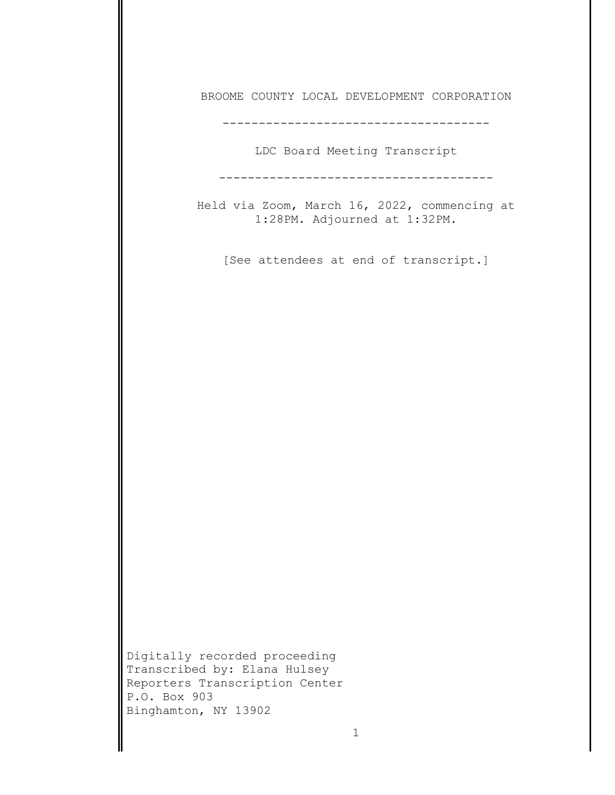BROOME COUNTY LOCAL DEVELOPMENT CORPORATION

-------------------------------------

LDC Board Meeting Transcript

--------------------------------------

Held via Zoom, March 16, 2022, commencing at 1:28PM. Adjourned at 1:32PM.

[See attendees at end of transcript.]

Digitally recorded proceeding Transcribed by: Elana Hulsey Reporters Transcription Center P.O. Box 903 Binghamton, NY 13902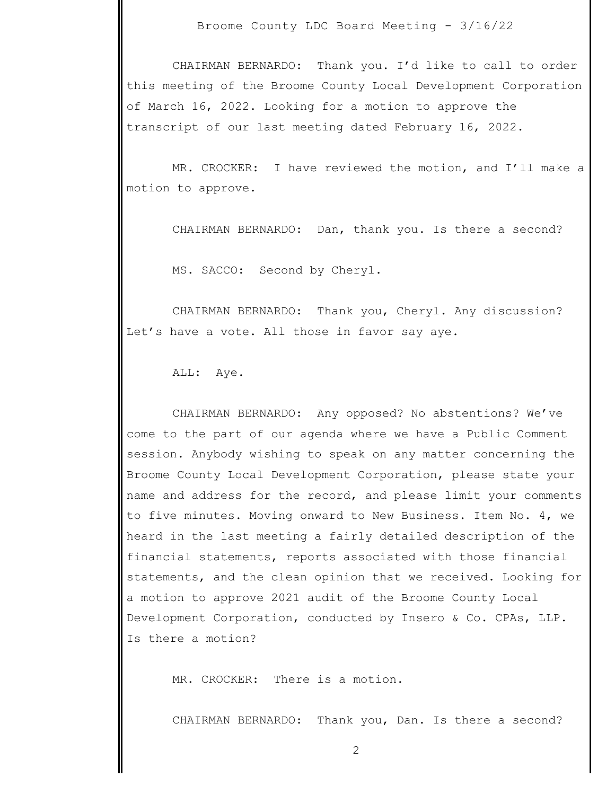CHAIRMAN BERNARDO: Thank you. I'd like to call to order this meeting of the Broome County Local Development Corporation of March 16, 2022. Looking for a motion to approve the transcript of our last meeting dated February 16, 2022.

MR. CROCKER: I have reviewed the motion, and I'll make a motion to approve.

CHAIRMAN BERNARDO: Dan, thank you. Is there a second?

MS. SACCO: Second by Cheryl.

CHAIRMAN BERNARDO: Thank you, Cheryl. Any discussion? Let's have a vote. All those in favor say aye.

ALL: Aye.

CHAIRMAN BERNARDO: Any opposed? No abstentions? We've come to the part of our agenda where we have a Public Comment session. Anybody wishing to speak on any matter concerning the Broome County Local Development Corporation, please state your name and address for the record, and please limit your comments to five minutes. Moving onward to New Business. Item No. 4, we heard in the last meeting a fairly detailed description of the financial statements, reports associated with those financial statements, and the clean opinion that we received. Looking for a motion to approve 2021 audit of the Broome County Local Development Corporation, conducted by Insero & Co. CPAs, LLP. Is there a motion?

MR. CROCKER: There is a motion.

CHAIRMAN BERNARDO: Thank you, Dan. Is there a second?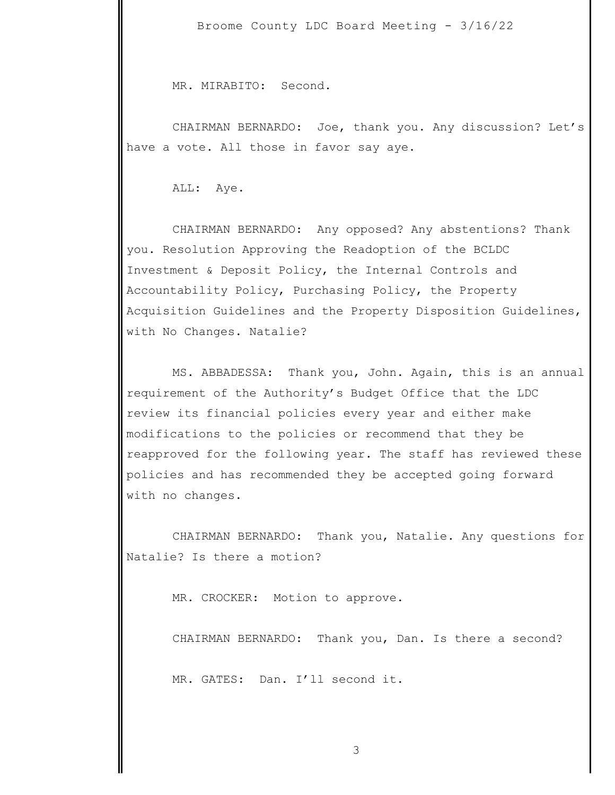MR. MIRABITO: Second.

 CHAIRMAN BERNARDO: Joe, thank you. Any discussion? Let's have a vote. All those in favor say aye.

ALL: Aye.

 CHAIRMAN BERNARDO: Any opposed? Any abstentions? Thank you. Resolution Approving the Readoption of the BCLDC Investment & Deposit Policy, the Internal Controls and Accountability Policy, Purchasing Policy, the Property Acquisition Guidelines and the Property Disposition Guidelines, with No Changes. Natalie?

 MS. ABBADESSA: Thank you, John. Again, this is an annual requirement of the Authority's Budget Office that the LDC review its financial policies every year and either make modifications to the policies or recommend that they be reapproved for the following year. The staff has reviewed these policies and has recommended they be accepted going forward with no changes.

 CHAIRMAN BERNARDO: Thank you, Natalie. Any questions for Natalie? Is there a motion?

MR. CROCKER: Motion to approve.

CHAIRMAN BERNARDO: Thank you, Dan. Is there a second?

MR. GATES: Dan. I'll second it.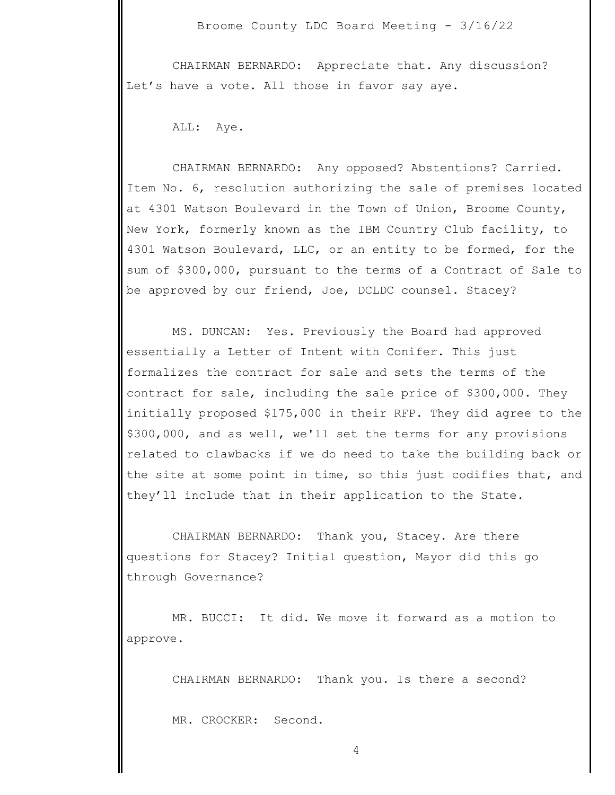CHAIRMAN BERNARDO: Appreciate that. Any discussion? Let's have a vote. All those in favor say aye.

ALL: Aye.

CHAIRMAN BERNARDO: Any opposed? Abstentions? Carried. Item No. 6, resolution authorizing the sale of premises located at 4301 Watson Boulevard in the Town of Union, Broome County, New York, formerly known as the IBM Country Club facility, to 4301 Watson Boulevard, LLC, or an entity to be formed, for the sum of \$300,000, pursuant to the terms of a Contract of Sale to be approved by our friend, Joe, DCLDC counsel. Stacey?

MS. DUNCAN: Yes. Previously the Board had approved essentially a Letter of Intent with Conifer. This just formalizes the contract for sale and sets the terms of the contract for sale, including the sale price of \$300,000. They initially proposed \$175,000 in their RFP. They did agree to the \$300,000, and as well, we'll set the terms for any provisions related to clawbacks if we do need to take the building back or the site at some point in time, so this just codifies that, and they'll include that in their application to the State.

CHAIRMAN BERNARDO: Thank you, Stacey. Are there questions for Stacey? Initial question, Mayor did this go through Governance?

MR. BUCCI: It did. We move it forward as a motion to approve.

CHAIRMAN BERNARDO: Thank you. Is there a second?

MR. CROCKER: Second.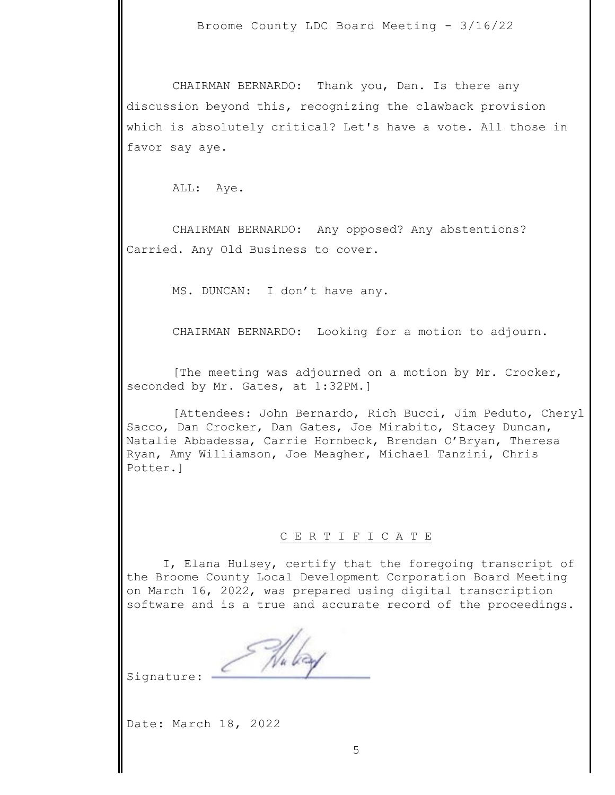CHAIRMAN BERNARDO: Thank you, Dan. Is there any discussion beyond this, recognizing the clawback provision which is absolutely critical? Let's have a vote. All those in favor say aye.

ALL: Aye.

CHAIRMAN BERNARDO: Any opposed? Any abstentions? Carried. Any Old Business to cover.

MS. DUNCAN: I don't have any.

CHAIRMAN BERNARDO: Looking for a motion to adjourn.

[The meeting was adjourned on a motion by Mr. Crocker, seconded by Mr. Gates, at 1:32PM.]

[Attendees: John Bernardo, Rich Bucci, Jim Peduto, Cheryl Sacco, Dan Crocker, Dan Gates, Joe Mirabito, Stacey Duncan, Natalie Abbadessa, Carrie Hornbeck, Brendan O'Bryan, Theresa Ryan, Amy Williamson, Joe Meagher, Michael Tanzini, Chris Potter.]

#### C E R T I F I C A T E

I, Elana Hulsey, certify that the foregoing transcript of the Broome County Local Development Corporation Board Meeting on March 16, 2022, was prepared using digital transcription software and is a true and accurate record of the proceedings.

Nu bay

Signature:

Date: March 18, 2022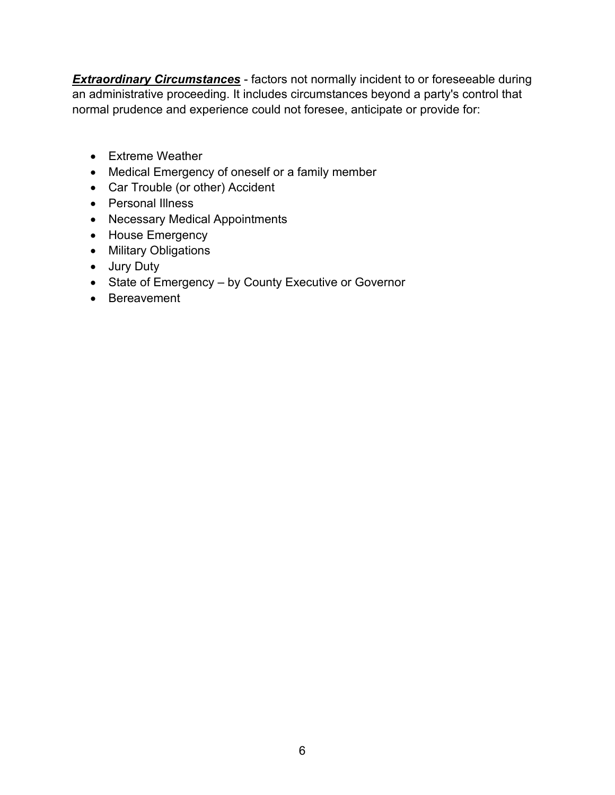**Extraordinary Circumstances** - factors not normally incident to or foreseeable during an administrative proceeding. It includes circumstances beyond a party's control that normal prudence and experience could not foresee, anticipate or provide for:

- Extreme Weather
- Medical Emergency of oneself or a family member
- Car Trouble (or other) Accident
- Personal Illness
- Necessary Medical Appointments
- House Emergency
- Military Obligations
- Jury Duty
- State of Emergency by County Executive or Governor
- Bereavement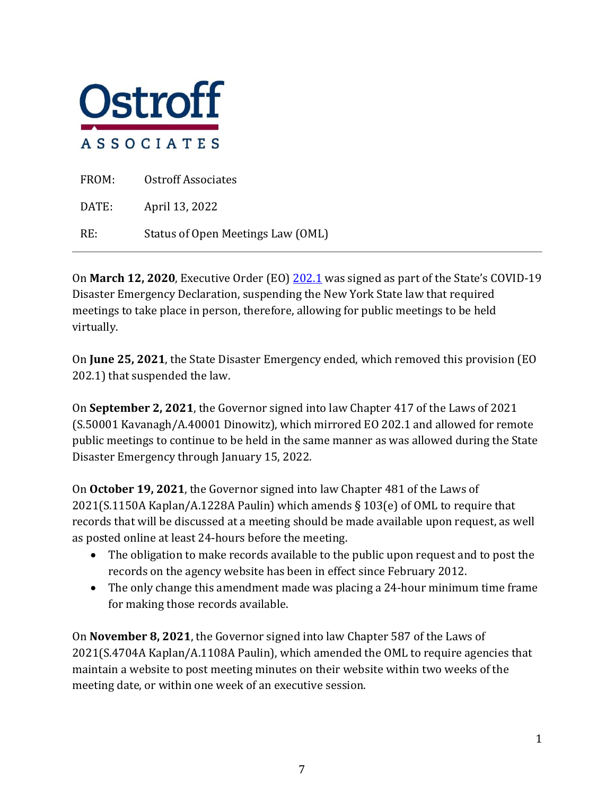

| FROM:          | Ostroff Associates                |
|----------------|-----------------------------------|
| $\text{DATE:}$ | April 13, 2022                    |
| RE:            | Status of Open Meetings Law (OML) |

On **March 12, 2020**, Executive Order (EO) [202.1](https://www.governor.ny.gov/sites/default/files/atoms/files/EO_202_1.pdf) was signed as part of the State's COVID-19 Disaster Emergency Declaration, suspending the New York State law that required meetings to take place in person, therefore, allowing for public meetings to be held virtually.

On **June 25, 2021**, the State Disaster Emergency ended, which removed this provision (EO 202.1) that suspended the law.

On **September 2, 2021**, the Governor signed into law Chapter 417 of the Laws of 2021 (S.50001 Kavanagh/A.40001 Dinowitz), which mirrored EO 202.1 and allowed for remote public meetings to continue to be held in the same manner as was allowed during the State Disaster Emergency through January 15, 2022.

On **October 19, 2021**, the Governor signed into law Chapter 481 of the Laws of 2021(S.1150A Kaplan/A.1228A Paulin) which amends § 103(e) of OML to require that records that will be discussed at a meeting should be made available upon request, as well as posted online at least 24-hours before the meeting.

- The obligation to make records available to the public upon request and to post the records on the agency website has been in effect since February 2012.
- The only change this amendment made was placing a 24-hour minimum time frame for making those records available.

On **November 8, 2021**, the Governor signed into law Chapter 587 of the Laws of 2021(S.4704A Kaplan/A.1108A Paulin), which amended the OML to require agencies that maintain a website to post meeting minutes on their website within two weeks of the meeting date, or within one week of an executive session.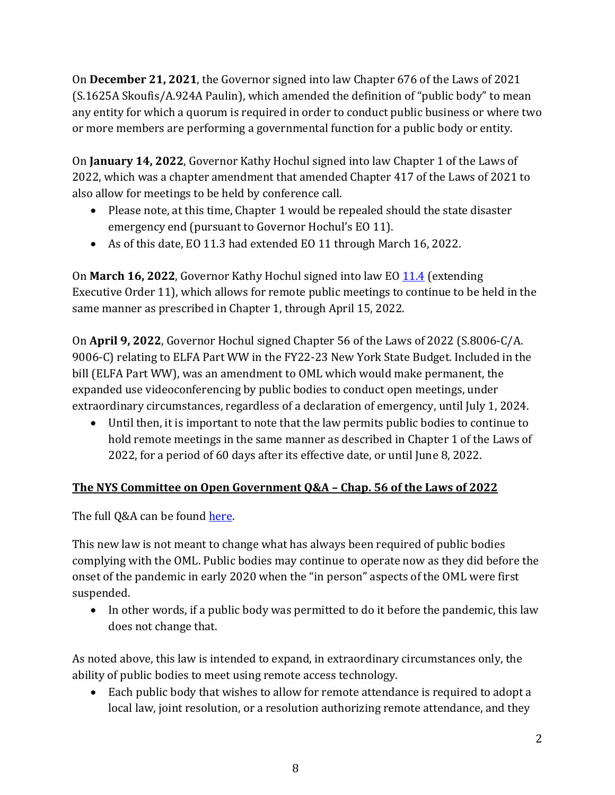On **December 21, 2021**, the Governor signed into law Chapter 676 of the Laws of 2021 (S.1625A Skoufis/A.924A Paulin), which amended the definition of "public body" to mean any entity for which a quorum is required in order to conduct public business or where two or more members are performing a governmental function for a public body or entity.

On **January 14, 2022**, Governor Kathy Hochul signed into law Chapter 1 of the Laws of 2022, which was a chapter amendment that amended Chapter 417 of the Laws of 2021 to also allow for meetings to be held by conference call.

- Please note, at this time, Chapter 1 would be repealed should the state disaster emergency end (pursuant to Governor Hochul's EO 11).
- As of this date, EO 11.3 had extended EO 11 through March 16, 2022.

On **March 16, 2022**, Governor Kathy Hochul signed into law EO [11.4](https://www.governor.ny.gov/sites/default/files/2022-03/EO_11.4.pdf) (extending Executive Order 11), which allows for remote public meetings to continue to be held in the same manner as prescribed in Chapter 1, through April 15, 2022.

On **April 9, 2022**, Governor Hochul signed Chapter 56 of the Laws of 2022 (S.8006-C/A. 9006-C) relating to ELFA Part WW in the FY22-23 New York State Budget. Included in the bill (ELFA Part WW), was an amendment to OML which would make permanent, the expanded use videoconferencing by public bodies to conduct open meetings, under extraordinary circumstances, regardless of a declaration of emergency, until July 1, 2024.

• Until then, it is important to note that the law permits public bodies to continue to hold remote meetings in the same manner as described in Chapter 1 of the Laws of 2022, for a period of 60 days after its effective date, or until June 8, 2022.

# **The NYS Committee on Open Government Q&A – Chap. 56 of the Laws of 2022**

The full Q&A can be found [here.](https://opengovernment.ny.gov/system/files/documents/2022/04/chapter-56-of-the-laws-of-2022-guidance-document-4-13-22.pdf) 

This new law is not meant to change what has always been required of public bodies complying with the OML. Public bodies may continue to operate now as they did before the onset of the pandemic in early 2020 when the "in person" aspects of the OML were first suspended.

• In other words, if a public body was permitted to do it before the pandemic, this law does not change that.

As noted above, this law is intended to expand, in extraordinary circumstances only, the ability of public bodies to meet using remote access technology.

• Each public body that wishes to allow for remote attendance is required to adopt a local law, joint resolution, or a resolution authorizing remote attendance, and they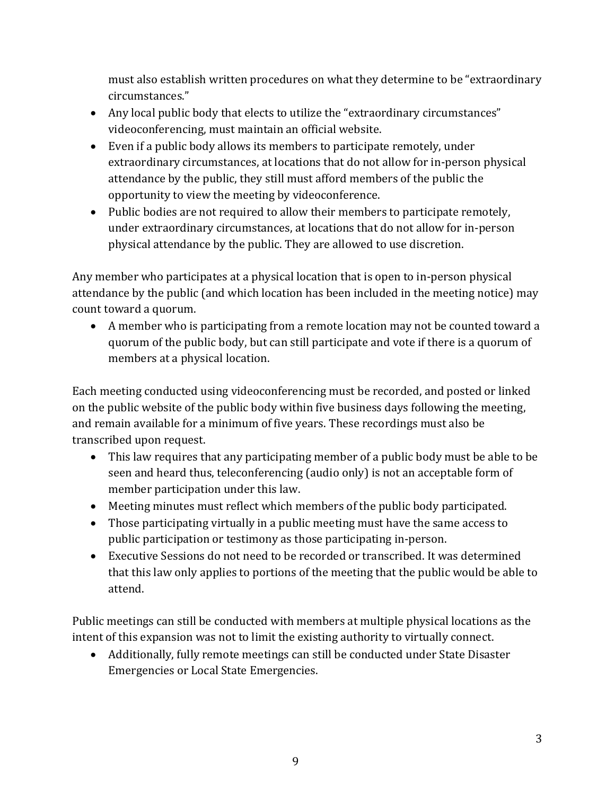must also establish written procedures on what they determine to be "extraordinary circumstances."

- Any local public body that elects to utilize the "extraordinary circumstances" videoconferencing, must maintain an official website.
- Even if a public body allows its members to participate remotely, under extraordinary circumstances, at locations that do not allow for in-person physical attendance by the public, they still must afford members of the public the opportunity to view the meeting by videoconference.
- Public bodies are not required to allow their members to participate remotely, under extraordinary circumstances, at locations that do not allow for in-person physical attendance by the public. They are allowed to use discretion.

Any member who participates at a physical location that is open to in-person physical attendance by the public (and which location has been included in the meeting notice) may count toward a quorum.

• A member who is participating from a remote location may not be counted toward a quorum of the public body, but can still participate and vote if there is a quorum of members at a physical location.

Each meeting conducted using videoconferencing must be recorded, and posted or linked on the public website of the public body within five business days following the meeting, and remain available for a minimum of five years. These recordings must also be transcribed upon request.

- This law requires that any participating member of a public body must be able to be seen and heard thus, teleconferencing (audio only) is not an acceptable form of member participation under this law.
- Meeting minutes must reflect which members of the public body participated.
- Those participating virtually in a public meeting must have the same access to public participation or testimony as those participating in-person.
- Executive Sessions do not need to be recorded or transcribed. It was determined that this law only applies to portions of the meeting that the public would be able to attend.

Public meetings can still be conducted with members at multiple physical locations as the intent of this expansion was not to limit the existing authority to virtually connect.

• Additionally, fully remote meetings can still be conducted under State Disaster Emergencies or Local State Emergencies.